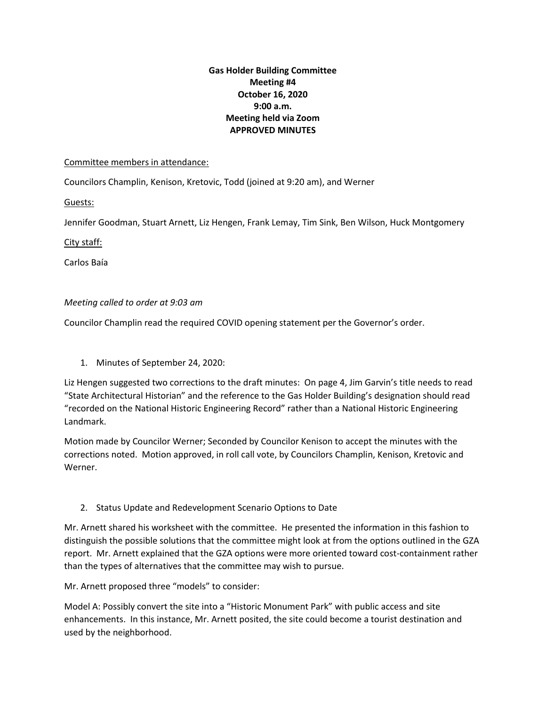## **Gas Holder Building Committee Meeting #4 October 16, 2020 9:00 a.m. Meeting held via Zoom APPROVED MINUTES**

## Committee members in attendance:

Councilors Champlin, Kenison, Kretovic, Todd (joined at 9:20 am), and Werner

Guests:

Jennifer Goodman, Stuart Arnett, Liz Hengen, Frank Lemay, Tim Sink, Ben Wilson, Huck Montgomery

City staff:

Carlos Baía

## *Meeting called to order at 9:03 am*

Councilor Champlin read the required COVID opening statement per the Governor's order.

1. Minutes of September 24, 2020:

Liz Hengen suggested two corrections to the draft minutes: On page 4, Jim Garvin's title needs to read "State Architectural Historian" and the reference to the Gas Holder Building's designation should read "recorded on the National Historic Engineering Record" rather than a National Historic Engineering Landmark.

Motion made by Councilor Werner; Seconded by Councilor Kenison to accept the minutes with the corrections noted. Motion approved, in roll call vote, by Councilors Champlin, Kenison, Kretovic and Werner.

2. Status Update and Redevelopment Scenario Options to Date

Mr. Arnett shared his worksheet with the committee. He presented the information in this fashion to distinguish the possible solutions that the committee might look at from the options outlined in the GZA report. Mr. Arnett explained that the GZA options were more oriented toward cost-containment rather than the types of alternatives that the committee may wish to pursue.

Mr. Arnett proposed three "models" to consider:

Model A: Possibly convert the site into a "Historic Monument Park" with public access and site enhancements. In this instance, Mr. Arnett posited, the site could become a tourist destination and used by the neighborhood.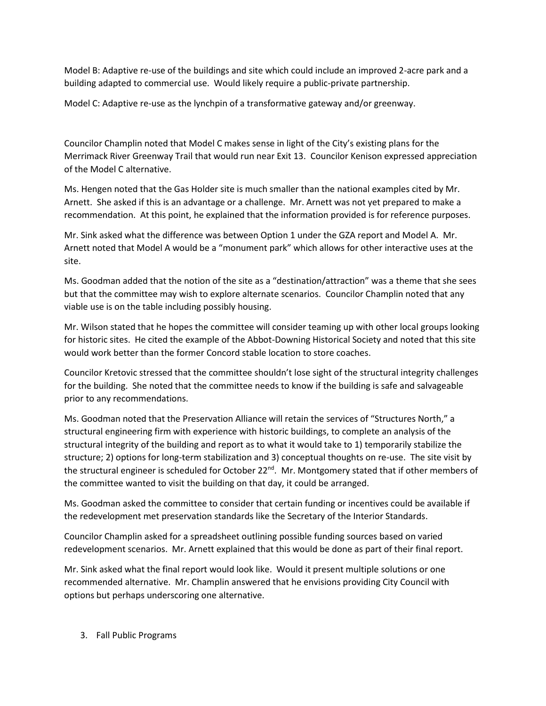Model B: Adaptive re-use of the buildings and site which could include an improved 2-acre park and a building adapted to commercial use. Would likely require a public-private partnership.

Model C: Adaptive re-use as the lynchpin of a transformative gateway and/or greenway.

Councilor Champlin noted that Model C makes sense in light of the City's existing plans for the Merrimack River Greenway Trail that would run near Exit 13. Councilor Kenison expressed appreciation of the Model C alternative.

Ms. Hengen noted that the Gas Holder site is much smaller than the national examples cited by Mr. Arnett. She asked if this is an advantage or a challenge. Mr. Arnett was not yet prepared to make a recommendation. At this point, he explained that the information provided is for reference purposes.

Mr. Sink asked what the difference was between Option 1 under the GZA report and Model A. Mr. Arnett noted that Model A would be a "monument park" which allows for other interactive uses at the site.

Ms. Goodman added that the notion of the site as a "destination/attraction" was a theme that she sees but that the committee may wish to explore alternate scenarios. Councilor Champlin noted that any viable use is on the table including possibly housing.

Mr. Wilson stated that he hopes the committee will consider teaming up with other local groups looking for historic sites. He cited the example of the Abbot-Downing Historical Society and noted that this site would work better than the former Concord stable location to store coaches.

Councilor Kretovic stressed that the committee shouldn't lose sight of the structural integrity challenges for the building. She noted that the committee needs to know if the building is safe and salvageable prior to any recommendations.

Ms. Goodman noted that the Preservation Alliance will retain the services of "Structures North," a structural engineering firm with experience with historic buildings, to complete an analysis of the structural integrity of the building and report as to what it would take to 1) temporarily stabilize the structure; 2) options for long-term stabilization and 3) conceptual thoughts on re-use. The site visit by the structural engineer is scheduled for October 22<sup>nd</sup>. Mr. Montgomery stated that if other members of the committee wanted to visit the building on that day, it could be arranged.

Ms. Goodman asked the committee to consider that certain funding or incentives could be available if the redevelopment met preservation standards like the Secretary of the Interior Standards.

Councilor Champlin asked for a spreadsheet outlining possible funding sources based on varied redevelopment scenarios. Mr. Arnett explained that this would be done as part of their final report.

Mr. Sink asked what the final report would look like. Would it present multiple solutions or one recommended alternative. Mr. Champlin answered that he envisions providing City Council with options but perhaps underscoring one alternative.

3. Fall Public Programs